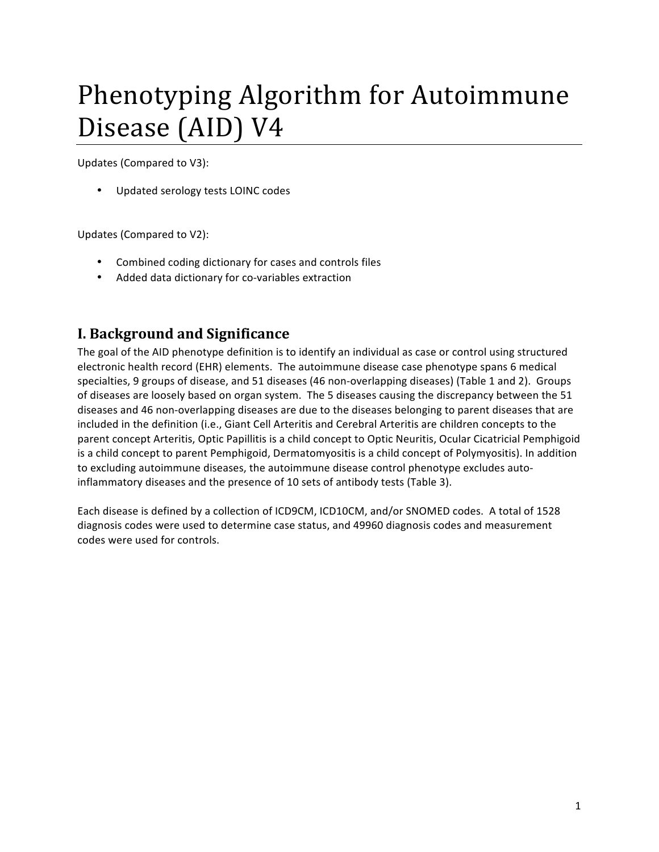# Phenotyping Algorithm for Autoimmune Disease (AID) V4

Updates (Compared to V3):

• Updated serology tests LOINC codes

Updates (Compared to V2):

- Combined coding dictionary for cases and controls files
- Added data dictionary for co-variables extraction

## **I. Background and Significance**

The goal of the AID phenotype definition is to identify an individual as case or control using structured electronic health record (EHR) elements. The autoimmune disease case phenotype spans 6 medical specialties, 9 groups of disease, and 51 diseases (46 non-overlapping diseases) (Table 1 and 2). Groups of diseases are loosely based on organ system. The 5 diseases causing the discrepancy between the 51 diseases and 46 non-overlapping diseases are due to the diseases belonging to parent diseases that are included in the definition (i.e., Giant Cell Arteritis and Cerebral Arteritis are children concepts to the parent concept Arteritis, Optic Papillitis is a child concept to Optic Neuritis, Ocular Cicatricial Pemphigoid is a child concept to parent Pemphigoid, Dermatomyositis is a child concept of Polymyositis). In addition to excluding autoimmune diseases, the autoimmune disease control phenotype excludes autoinflammatory diseases and the presence of 10 sets of antibody tests (Table 3).

Each disease is defined by a collection of ICD9CM, ICD10CM, and/or SNOMED codes. A total of 1528 diagnosis codes were used to determine case status, and 49960 diagnosis codes and measurement codes were used for controls.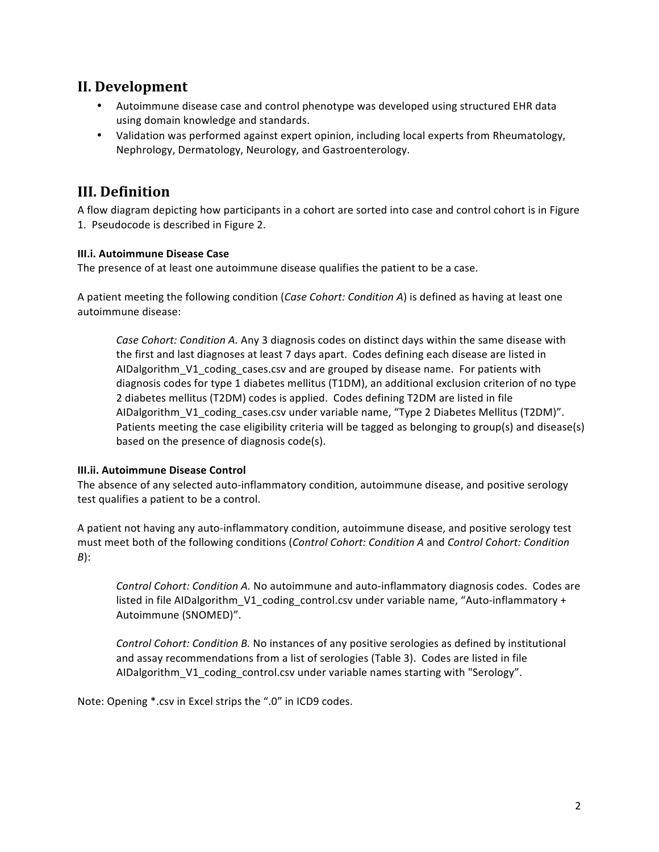## **II. Development**

- Autoimmune disease case and control phenotype was developed using structured EHR data using domain knowledge and standards.
- Validation was performed against expert opinion, including local experts from Rheumatology, Nephrology, Dermatology, Neurology, and Gastroenterology.

## **III. Definition**

A flow diagram depicting how participants in a cohort are sorted into case and control cohort is in Figure 1. Pseudocode is described in Figure 2.

## **III.i. Autoimmune Disease Case**

The presence of at least one autoimmune disease qualifies the patient to be a case.

A patient meeting the following condition (*Case Cohort: Condition A*) is defined as having at least one autoimmune disease:

Case Cohort: Condition A. Any 3 diagnosis codes on distinct days within the same disease with the first and last diagnoses at least 7 days apart. Codes defining each disease are listed in AIDalgorithm\_V1\_coding\_cases.csv and are grouped by disease name. For patients with diagnosis codes for type 1 diabetes mellitus (T1DM), an additional exclusion criterion of no type 2 diabetes mellitus (T2DM) codes is applied. Codes defining T2DM are listed in file AIDalgorithm\_V1\_coding\_cases.csv under variable name, "Type 2 Diabetes Mellitus (T2DM)". Patients meeting the case eligibility criteria will be tagged as belonging to group(s) and disease(s) based on the presence of diagnosis code(s).

#### **III.ii. Autoimmune Disease Control**

The absence of any selected auto-inflammatory condition, autoimmune disease, and positive serology test qualifies a patient to be a control.

A patient not having any auto-inflammatory condition, autoimmune disease, and positive serology test must meet both of the following conditions (*Control Cohort: Condition A* and *Control Cohort: Condition B*): 

Control Cohort: Condition A. No autoimmune and auto-inflammatory diagnosis codes. Codes are listed in file AIDalgorithm\_V1\_coding\_control.csv under variable name, "Auto-inflammatory + Autoimmune (SNOMED)".

*Control Cohort: Condition B.* No instances of any positive serologies as defined by institutional and assay recommendations from a list of serologies (Table 3). Codes are listed in file AIDalgorithm\_V1\_coding\_control.csv under variable names starting with "Serology".

Note: Opening \*.csv in Excel strips the ".0" in ICD9 codes.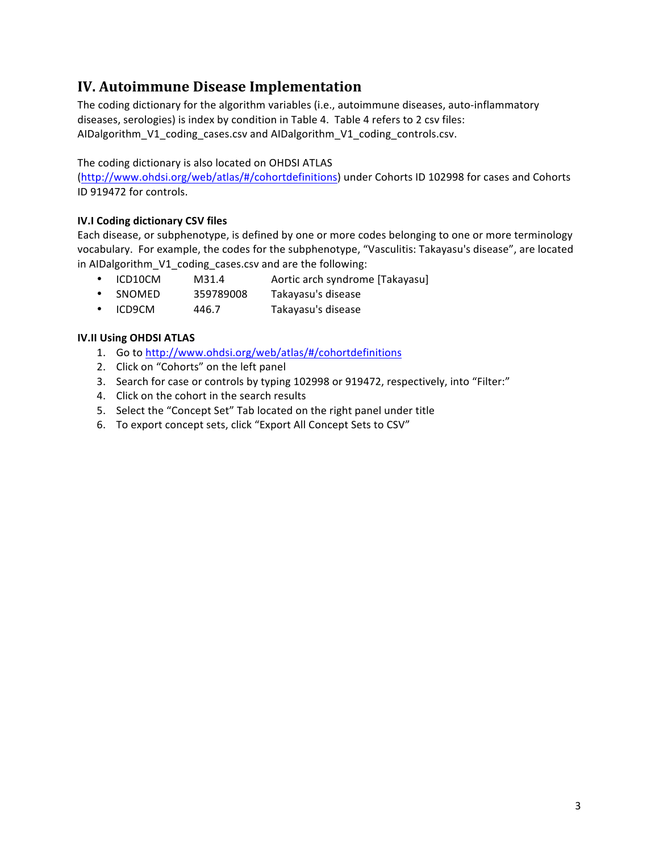# **IV. Autoimmune Disease Implementation**

The coding dictionary for the algorithm variables (i.e., autoimmune diseases, auto-inflammatory diseases, serologies) is index by condition in Table 4. Table 4 refers to 2 csv files: AIDalgorithm\_V1\_coding\_cases.csv and AIDalgorithm\_V1\_coding\_controls.csv.

#### The coding dictionary is also located on OHDSI ATLAS

(http://www.ohdsi.org/web/atlas/#/cohortdefinitions) under Cohorts ID 102998 for cases and Cohorts ID 919472 for controls.

### **IV.I Coding dictionary CSV files**

Each disease, or subphenotype, is defined by one or more codes belonging to one or more terminology vocabulary. For example, the codes for the subphenotype, "Vasculitis: Takayasu's disease", are located in AIDalgorithm\_V1\_coding\_cases.csv and are the following:

- ICD10CM M31.4 Aortic arch syndrome [Takayasu]
- SNOMED 359789008 Takayasu's disease
- ICD9CM 446.7 Takayasu's disease

#### **IV.II Using OHDSI ATLAS**

- 1. Go to http://www.ohdsi.org/web/atlas/#/cohortdefinitions
- 2. Click on "Cohorts" on the left panel
- 3. Search for case or controls by typing 102998 or 919472, respectively, into "Filter:"
- 4. Click on the cohort in the search results
- 5. Select the "Concept Set" Tab located on the right panel under title
- 6. To export concept sets, click "Export All Concept Sets to CSV"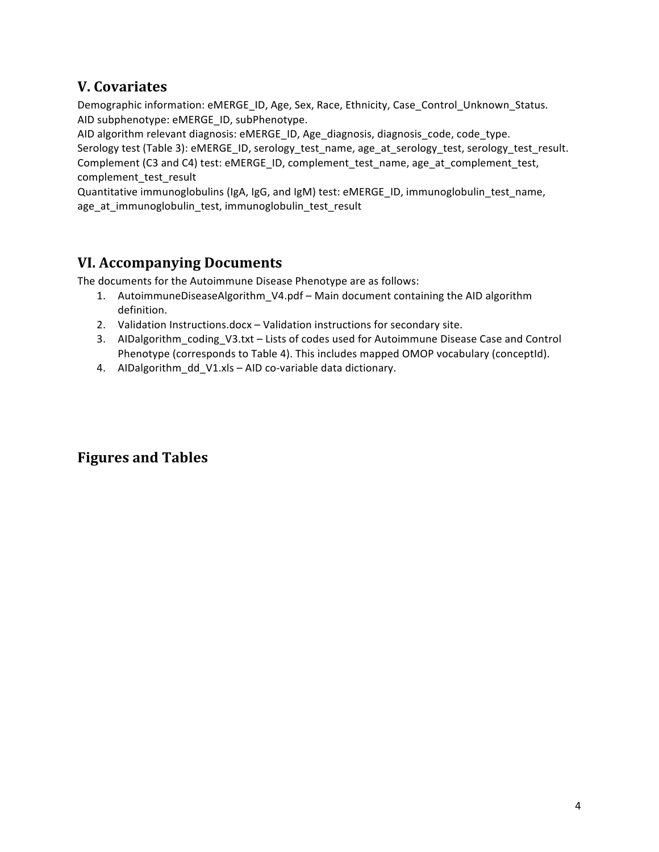## **V. Covariates**

Demographic information: eMERGE\_ID, Age, Sex, Race, Ethnicity, Case\_Control\_Unknown\_Status. AID subphenotype: eMERGE\_ID, subPhenotype.

AID algorithm relevant diagnosis: eMERGE\_ID, Age\_diagnosis, diagnosis\_code, code\_type.

Serology test (Table 3): eMERGE\_ID, serology\_test\_name, age\_at\_serology\_test, serology\_test\_result. Complement (C3 and C4) test: eMERGE\_ID, complement\_test\_name, age\_at\_complement\_test, complement\_test\_result

Quantitative immunoglobulins (IgA, IgG, and IgM) test: eMERGE\_ID, immunoglobulin\_test\_name, age\_at\_immunoglobulin\_test, immunoglobulin\_test\_result

## **VI. Accompanying Documents**

The documents for the Autoimmune Disease Phenotype are as follows:

- 1. AutoimmuneDiseaseAlgorithm\_V4.pdf Main document containing the AID algorithm definition.
- 2. Validation Instructions.docx Validation instructions for secondary site.
- 3. AIDalgorithm\_coding\_V3.txt Lists of codes used for Autoimmune Disease Case and Control Phenotype (corresponds to Table 4). This includes mapped OMOP vocabulary (conceptId).
- 4. AIDalgorithm\_dd\_V1.xls AID co-variable data dictionary.

# **Figures and Tables**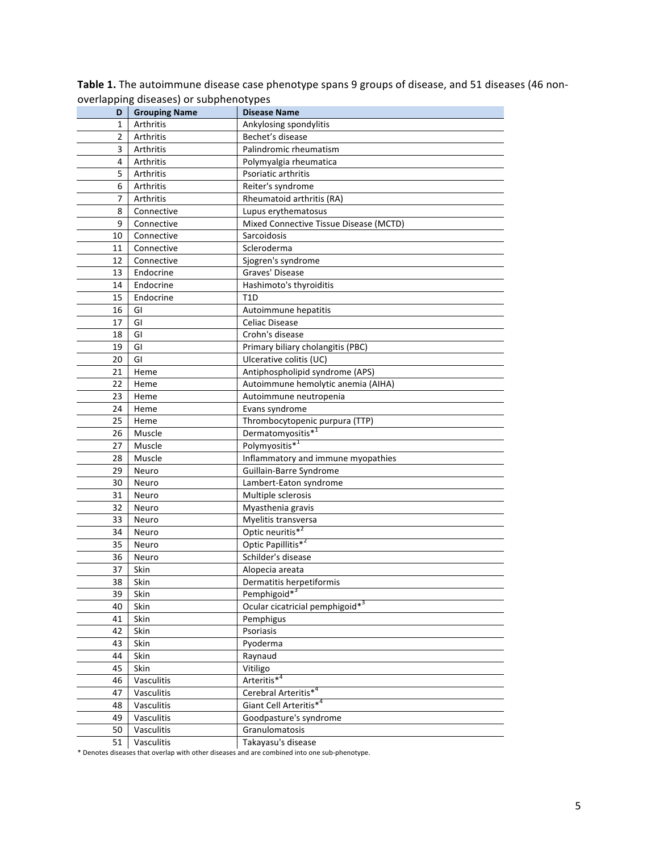|                | Overlapping diseases) or supprientivitypes |                                             |  |
|----------------|--------------------------------------------|---------------------------------------------|--|
| D              | <b>Grouping Name</b>                       | <b>Disease Name</b>                         |  |
| 1              | Arthritis                                  | Ankylosing spondylitis                      |  |
| $\overline{2}$ | Arthritis                                  | Bechet's disease                            |  |
| 3              | Arthritis                                  | Palindromic rheumatism                      |  |
| 4              | Arthritis                                  | Polymyalgia rheumatica                      |  |
| 5              | Arthritis                                  | Psoriatic arthritis                         |  |
| 6              | Arthritis                                  | Reiter's syndrome                           |  |
| 7              | Arthritis                                  | Rheumatoid arthritis (RA)                   |  |
| 8              | Connective                                 | Lupus erythematosus                         |  |
| 9              | Connective                                 | Mixed Connective Tissue Disease (MCTD)      |  |
| 10             | Connective                                 | Sarcoidosis                                 |  |
| 11             | Connective                                 | Scleroderma                                 |  |
| 12             | Connective                                 | Sjogren's syndrome                          |  |
| 13             | Endocrine                                  | Graves' Disease                             |  |
| 14             | Endocrine                                  | Hashimoto's thyroiditis                     |  |
| 15             | Endocrine                                  | T <sub>1</sub> D                            |  |
| 16             | GI                                         | Autoimmune hepatitis                        |  |
| 17             | GI                                         | Celiac Disease                              |  |
| 18             | GI                                         | Crohn's disease                             |  |
| 19             | GI                                         | Primary biliary cholangitis (PBC)           |  |
| 20             | GI                                         | Ulcerative colitis (UC)                     |  |
| 21             | Heme                                       | Antiphospholipid syndrome (APS)             |  |
| 22             | Heme                                       | Autoimmune hemolytic anemia (AIHA)          |  |
| 23             | Heme                                       | Autoimmune neutropenia                      |  |
| 24             | Heme                                       | Evans syndrome                              |  |
| 25             | Heme                                       | Thrombocytopenic purpura (TTP)              |  |
| 26             | Muscle                                     | Dermatomyositis <sup>*1</sup>               |  |
| 27             | Muscle                                     | Polymyositis* <sup>1</sup>                  |  |
| 28             | Muscle                                     | Inflammatory and immune myopathies          |  |
| 29             | Neuro                                      | Guillain-Barre Syndrome                     |  |
| 30             | Neuro                                      | Lambert-Eaton syndrome                      |  |
| 31             | Neuro                                      | Multiple sclerosis                          |  |
| 32             | Neuro                                      | Myasthenia gravis                           |  |
| 33             | Neuro                                      | Myelitis transversa                         |  |
| 34             | Neuro                                      | Optic neuritis* <sup>2</sup>                |  |
| 35             | Neuro                                      | Optic Papillitis* <sup>2</sup>              |  |
| 36             | Neuro                                      | Schilder's disease                          |  |
| 37             | Skin                                       | Alopecia areata                             |  |
| 38             | Skin                                       | Dermatitis herpetiformis                    |  |
| 39             | Skin                                       | Pemphigoid <sup>*3</sup>                    |  |
| 40             | Skin                                       | Ocular cicatricial pemphigoid* <sup>3</sup> |  |
| 41             | Skin                                       | Pemphigus                                   |  |
| 42             | Skin                                       | Psoriasis                                   |  |
| 43             | Skin                                       | Pyoderma                                    |  |
| 44             | Skin                                       | Raynaud                                     |  |
| 45             | Skin                                       | Vitiligo                                    |  |
| 46             | Vasculitis                                 | Arteritis <sup>*4</sup>                     |  |
| 47             | Vasculitis                                 | Cerebral Arteritis* <sup>4</sup>            |  |
| 48             | Vasculitis                                 | Giant Cell Arteritis* <sup>4</sup>          |  |
| 49             | Vasculitis                                 | Goodpasture's syndrome                      |  |
| 50             | Vasculitis                                 | Granulomatosis                              |  |
| 51             | Vasculitis                                 | Takayasu's disease                          |  |

Table 1. The autoimmune disease case phenotype spans 9 groups of disease, and 51 diseases (46 nonoverlapping diseases) or subphenotypes

\* Denotes diseases that overlap with other diseases and are combined into one sub-phenotype.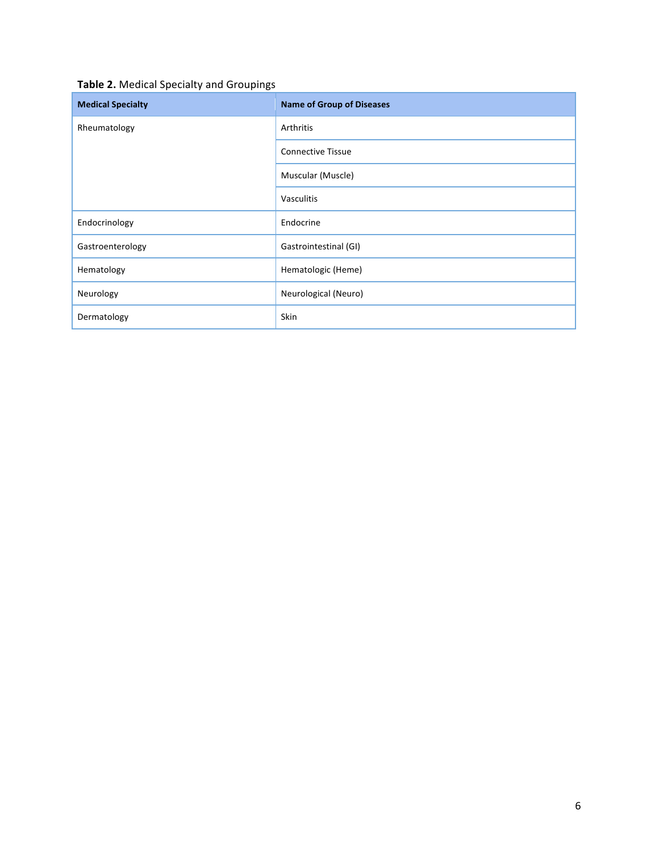## Table 2. Medical Specialty and Groupings

| <b>Medical Specialty</b> | <b>Name of Group of Diseases</b> |
|--------------------------|----------------------------------|
| Rheumatology             | Arthritis                        |
|                          | <b>Connective Tissue</b>         |
|                          | Muscular (Muscle)                |
|                          | Vasculitis                       |
| Endocrinology            | Endocrine                        |
| Gastroenterology         | Gastrointestinal (GI)            |
| Hematology               | Hematologic (Heme)               |
| Neurology                | Neurological (Neuro)             |
| Dermatology              | Skin                             |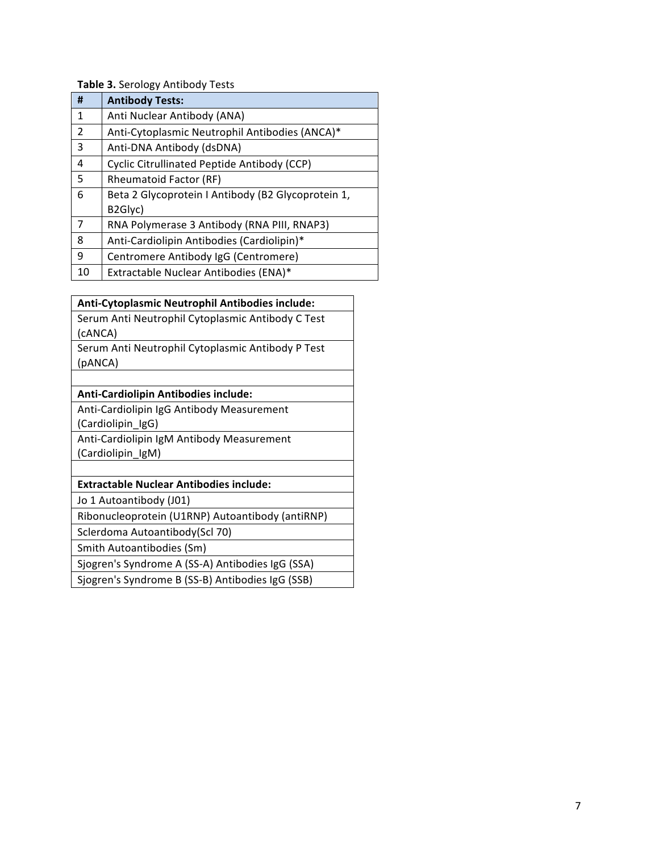## **Table 3.** Serology Antibody Tests

| #  | <b>Antibody Tests:</b>                             |  |  |
|----|----------------------------------------------------|--|--|
| 1  | Anti Nuclear Antibody (ANA)                        |  |  |
| 2  | Anti-Cytoplasmic Neutrophil Antibodies (ANCA)*     |  |  |
| 3  | Anti-DNA Antibody (dsDNA)                          |  |  |
| 4  | Cyclic Citrullinated Peptide Antibody (CCP)        |  |  |
| 5  | Rheumatoid Factor (RF)                             |  |  |
| 6  | Beta 2 Glycoprotein I Antibody (B2 Glycoprotein 1, |  |  |
|    | B2Glyc)                                            |  |  |
| 7  | RNA Polymerase 3 Antibody (RNA PIII, RNAP3)        |  |  |
| 8  | Anti-Cardiolipin Antibodies (Cardiolipin)*         |  |  |
| 9  | Centromere Antibody IgG (Centromere)               |  |  |
| 10 | Extractable Nuclear Antibodies (ENA)*              |  |  |

| Anti-Cytoplasmic Neutrophil Antibodies include:   |  |  |  |
|---------------------------------------------------|--|--|--|
| Serum Anti Neutrophil Cytoplasmic Antibody C Test |  |  |  |
| (CANCA)                                           |  |  |  |
| Serum Anti Neutrophil Cytoplasmic Antibody P Test |  |  |  |
| (pANCA)                                           |  |  |  |
|                                                   |  |  |  |
| <b>Anti-Cardiolipin Antibodies include:</b>       |  |  |  |
| Anti-Cardiolipin IgG Antibody Measurement         |  |  |  |
| (Cardiolipin_IgG)                                 |  |  |  |
| Anti-Cardiolipin IgM Antibody Measurement         |  |  |  |
| (Cardiolipin_IgM)                                 |  |  |  |
|                                                   |  |  |  |
| <b>Extractable Nuclear Antibodies include:</b>    |  |  |  |
| Jo 1 Autoantibody (J01)                           |  |  |  |
| Ribonucleoprotein (U1RNP) Autoantibody (antiRNP)  |  |  |  |
| Sclerdoma Autoantibody(Scl 70)                    |  |  |  |
| Smith Autoantibodies (Sm)                         |  |  |  |
| Sjogren's Syndrome A (SS-A) Antibodies IgG (SSA)  |  |  |  |
| Sjogren's Syndrome B (SS-B) Antibodies IgG (SSB)  |  |  |  |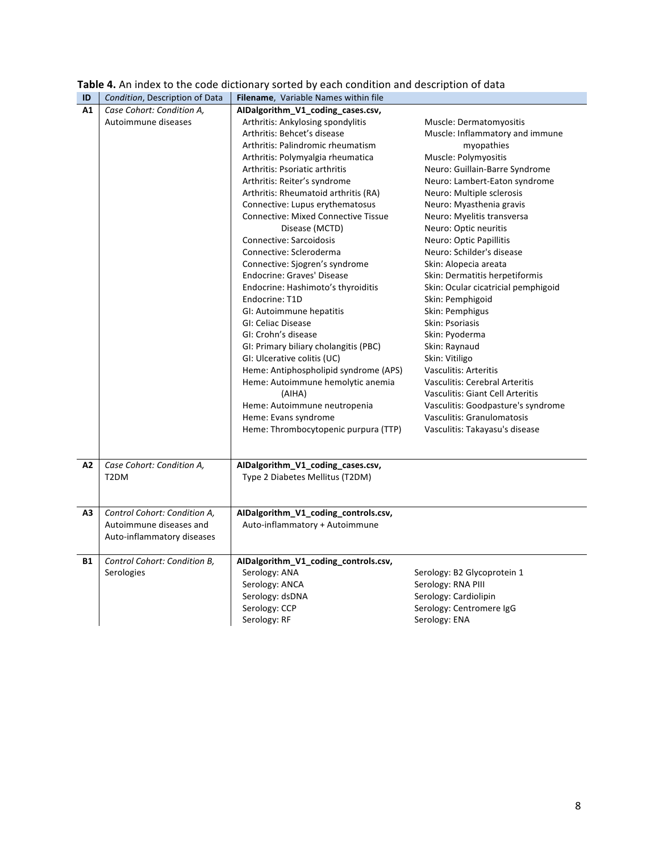| ID        | Condition, Description of Data | Filename, Variable Names within file       |                                         |  |
|-----------|--------------------------------|--------------------------------------------|-----------------------------------------|--|
| A1        | Case Cohort: Condition A,      | AIDalgorithm_V1_coding_cases.csv,          |                                         |  |
|           | Autoimmune diseases            | Arthritis: Ankylosing spondylitis          | Muscle: Dermatomyositis                 |  |
|           |                                | Arthritis: Behcet's disease                | Muscle: Inflammatory and immune         |  |
|           |                                | Arthritis: Palindromic rheumatism          | myopathies                              |  |
|           |                                | Arthritis: Polymyalgia rheumatica          | Muscle: Polymyositis                    |  |
|           |                                | Arthritis: Psoriatic arthritis             | Neuro: Guillain-Barre Syndrome          |  |
|           |                                | Arthritis: Reiter's syndrome               | Neuro: Lambert-Eaton syndrome           |  |
|           |                                | Arthritis: Rheumatoid arthritis (RA)       | Neuro: Multiple sclerosis               |  |
|           |                                | Connective: Lupus erythematosus            | Neuro: Myasthenia gravis                |  |
|           |                                | <b>Connective: Mixed Connective Tissue</b> | Neuro: Myelitis transversa              |  |
|           |                                | Disease (MCTD)                             | Neuro: Optic neuritis                   |  |
|           |                                | Connective: Sarcoidosis                    | Neuro: Optic Papillitis                 |  |
|           |                                | Connective: Scleroderma                    | Neuro: Schilder's disease               |  |
|           |                                | Connective: Sjogren's syndrome             | Skin: Alopecia areata                   |  |
|           |                                | Endocrine: Graves' Disease                 | Skin: Dermatitis herpetiformis          |  |
|           |                                | Endocrine: Hashimoto's thyroiditis         | Skin: Ocular cicatricial pemphigoid     |  |
|           |                                | Endocrine: T1D                             | Skin: Pemphigoid                        |  |
|           |                                | GI: Autoimmune hepatitis                   | Skin: Pemphigus                         |  |
|           |                                | GI: Celiac Disease                         | Skin: Psoriasis                         |  |
|           |                                | GI: Crohn's disease                        | Skin: Pyoderma                          |  |
|           |                                | GI: Primary biliary cholangitis (PBC)      | Skin: Raynaud                           |  |
|           |                                | GI: Ulcerative colitis (UC)                | Skin: Vitiligo                          |  |
|           |                                | Heme: Antiphospholipid syndrome (APS)      | <b>Vasculitis: Arteritis</b>            |  |
|           |                                | Heme: Autoimmune hemolytic anemia          | <b>Vasculitis: Cerebral Arteritis</b>   |  |
|           |                                | (AIHA)                                     | <b>Vasculitis: Giant Cell Arteritis</b> |  |
|           |                                | Heme: Autoimmune neutropenia               | Vasculitis: Goodpasture's syndrome      |  |
|           |                                | Heme: Evans syndrome                       | Vasculitis: Granulomatosis              |  |
|           |                                | Heme: Thrombocytopenic purpura (TTP)       | Vasculitis: Takayasu's disease          |  |
|           |                                |                                            |                                         |  |
|           |                                |                                            |                                         |  |
| A2        | Case Cohort: Condition A,      | AIDalgorithm_V1_coding_cases.csv,          |                                         |  |
|           | T <sub>2</sub> DM              | Type 2 Diabetes Mellitus (T2DM)            |                                         |  |
|           |                                |                                            |                                         |  |
|           |                                |                                            |                                         |  |
| А3        | Control Cohort: Condition A,   | AIDalgorithm_V1_coding_controls.csv,       |                                         |  |
|           | Autoimmune diseases and        | Auto-inflammatory + Autoimmune             |                                         |  |
|           | Auto-inflammatory diseases     |                                            |                                         |  |
|           |                                |                                            |                                         |  |
| <b>B1</b> | Control Cohort: Condition B,   | AIDalgorithm_V1_coding_controls.csv,       |                                         |  |
|           | Serologies                     | Serology: ANA                              | Serology: B2 Glycoprotein 1             |  |
|           |                                | Serology: ANCA                             | Serology: RNA PIII                      |  |
|           |                                | Serology: dsDNA                            | Serology: Cardiolipin                   |  |
|           |                                | Serology: CCP                              | Serology: Centromere IgG                |  |
|           |                                | Serology: RF                               | Serology: ENA                           |  |
|           |                                |                                            |                                         |  |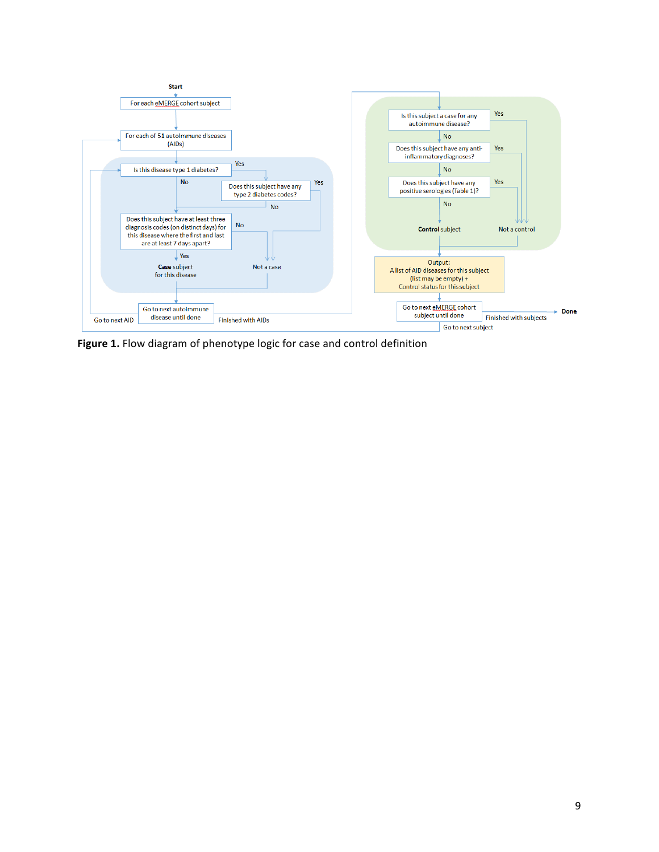

Figure 1. Flow diagram of phenotype logic for case and control definition